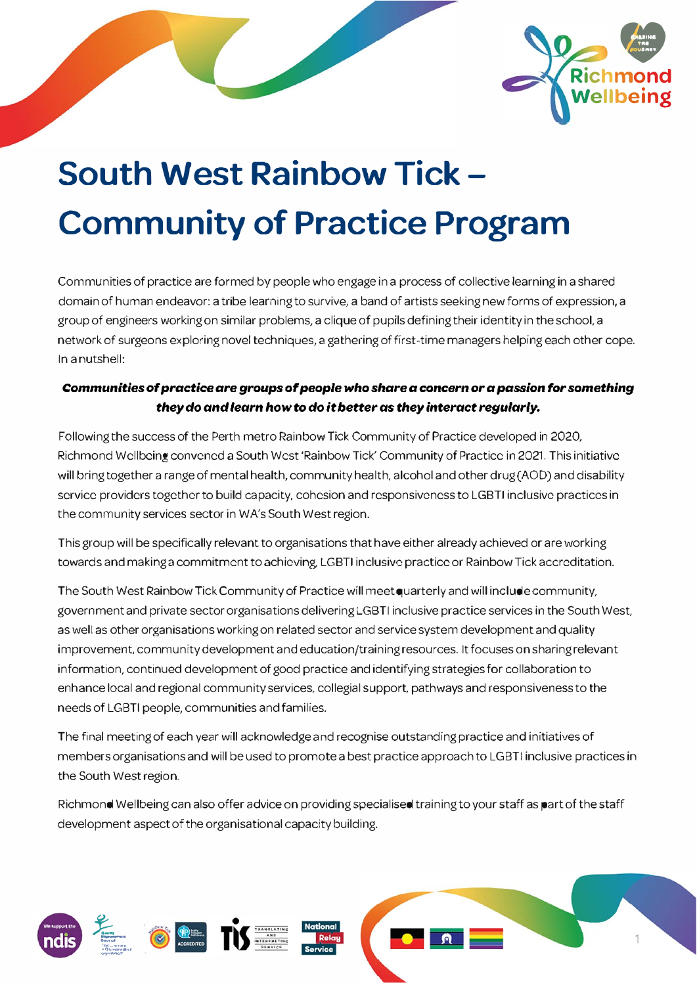

# **South West Rainbow Tick - Community of Practice Program**

Communities of practice are formed by people who engage in a process of collective learning in a shared domain of human endeavor: a tribe learning to survive, a band of artists seeking new forms of expression, a group of engineers working on similar problems, a clique of pupils defining their identity in the school. a network of surgeons exploring novel techniques, a gathering of first-time managers helping each other cope. In a nutshell:

### *Communities* **of***prac:tic:e are groups* **of** *people who share a* **concern** *or a passion for something they do and learn how* **to** *do it better as they interact regularly.*

Fallowing the success of the Perth metro Rainbow Tick Community of Practice developed in 2020, Richmond Wellbeing convened a South West 'Rainbow Tick' Community of Practice in 2021. This initiative will bring together a range of mental health, community health, alcohol and other drug (AOD) and disability service providers together to build capacity, cohesion and responsiveness to LGBTI inclusive practices in the community services sector in WA's South West region.

This group will be specifically relevant to organisations that have either already achieved or are working towards and making a commitment to achieving, LGBTI inclusive practice or Rainbow Tick accreditation.

The South West Rainbow Tick Community of Practice will meet quarterly and will include community, government and private sector organisations delivering LGBTI inclusive practice services in the South West, as well as other organisations working on related sector and service system development and quality improvement, community development and education/training resources. It focuses on sharing relevant information, continued development of good practice and identifying strategies for collaboration to enhance local and regional community services, collegial support. pathways and responsiveness to the needs of LGBTI people, communities and families.

The final meeting of each year will acknowledge and recognise outstanding practice and initiatives of members organisations and will be used to promote a best practice approach to LGBTI inclusive practices in the South West region.

Richmond Wellbeing can also offer advice on providing specialised training to your staff as part of the staff development aspect of the organisational capacity building.

**ANTISTICAL BRANCH Cally**<br>**Council**<br>Council<br>• Curcus 2011<br>• QUecove 2013<br>Coper Rathers

 $^{\circ}$